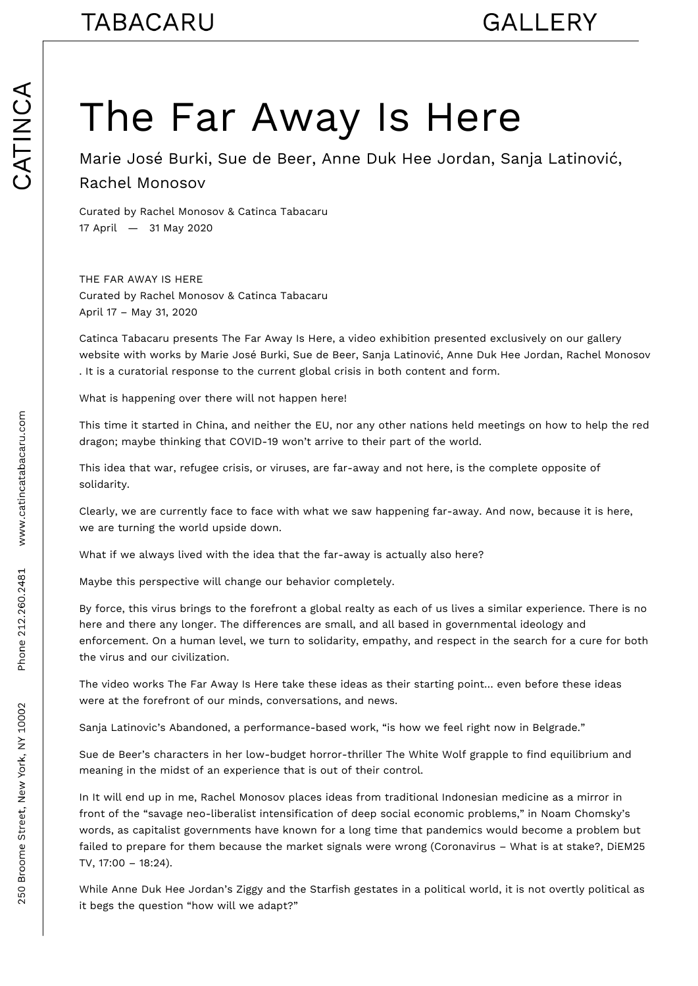## The Far Away Is Here

Marie José Burki, Sue de Beer, Anne Duk Hee Jordan, Sanja Latinović, Rachel Monosov

Curated by Rachel Monosov & Catinca Tabacaru 17 April — 31 May 2020

THE FAR AWAY IS HERE Curated by Rachel Monosov & Catinca Tabacaru April 17 – May 31, 2020

Catinca Tabacaru presents The Far Away Is Here, a video exhibition presented exclusively on our gallery website with works by Marie José Burki, Sue de Beer, Sanja Latinović, Anne Duk Hee Jordan, Rachel Monosov . It is a curatorial response to the current global crisis in both content and form.

What is happening over there will not happen here!

This time it started in China, and neither the EU, nor any other nations held meetings on how to help the red dragon; maybe thinking that COVID-19 won't arrive to their part of the world.

This idea that war, refugee crisis, or viruses, are far-away and not here, is the complete opposite of solidarity.

Clearly, we are currently face to face with what we saw happening far-away. And now, because it is here, we are turning the world upside down.

What if we always lived with the idea that the far-away is actually also here?

Maybe this perspective will change our behavior completely.

By force, this virus brings to the forefront a global realty as each of us lives a similar experience. There is no here and there any longer. The differences are small, and all based in governmental ideology and enforcement. On a human level, we turn to solidarity, empathy, and respect in the search for a cure for both the virus and our civilization.

The video works The Far Away Is Here take these ideas as their starting point… even before these ideas were at the forefront of our minds, conversations, and news.

Sanja Latinovic's Abandoned, a performance-based work, "is how we feel right now in Belgrade."

Sue de Beer's characters in her low-budget horror-thriller The White Wolf grapple to find equilibrium and meaning in the midst of an experience that is out of their control.

In It will end up in me, Rachel Monosov places ideas from traditional Indonesian medicine as a mirror in front of the "savage neo-liberalist intensification of deep social economic problems," in Noam Chomsky's words, as capitalist governments have known for a long time that pandemics would become a problem but failed to prepare for them because the market signals were wrong (Coronavirus – What is at stake?, DiEM25 TV, 17:00 – 18:24).

While Anne Duk Hee Jordan's Ziggy and the Starfish gestates in a political world, it is not overtly political as it begs the question "how will we adapt?"